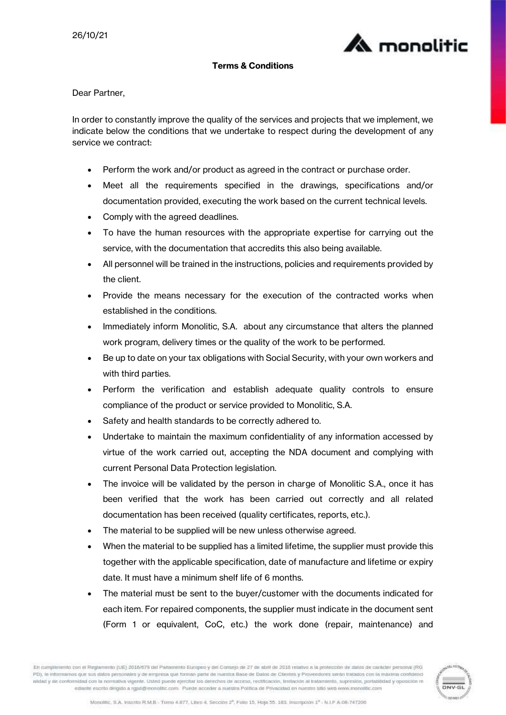

## Terms & Conditions

Dear Partner,

In order to constantly improve the quality of the services and projects that we implement, we indicate below the conditions that we undertake to respect during the development of any service we contract:

- Perform the work and/or product as agreed in the contract or purchase order.
- Meet all the requirements specified in the drawings, specifications and/or documentation provided, executing the work based on the current technical levels.
- Comply with the agreed deadlines.
- To have the human resources with the appropriate expertise for carrying out the service, with the documentation that accredits this also being available.
- All personnel will be trained in the instructions, policies and requirements provided by the client.
- Provide the means necessary for the execution of the contracted works when established in the conditions.
- Immediately inform Monolitic, S.A. about any circumstance that alters the planned work program, delivery times or the quality of the work to be performed.
- Be up to date on your tax obligations with Social Security, with your own workers and with third parties.
- Perform the verification and establish adequate quality controls to ensure compliance of the product or service provided to Monolitic, S.A.
- Safety and health standards to be correctly adhered to.
- Undertake to maintain the maximum confidentiality of any information accessed by virtue of the work carried out, accepting the NDA document and complying with current Personal Data Protection legislation.
- The invoice will be validated by the person in charge of Monolitic S.A., once it has been verified that the work has been carried out correctly and all related documentation has been received (quality certificates, reports, etc.).
- The material to be supplied will be new unless otherwise agreed.
- When the material to be supplied has a limited lifetime, the supplier must provide this together with the applicable specification, date of manufacture and lifetime or expiry date. It must have a minimum shelf life of 6 months.
- The material must be sent to the buyer/customer with the documents indicated for each item. For repaired components, the supplier must indicate in the document sent (Form 1 or equivalent, CoC, etc.) the work done (repair, maintenance) and

En camplimiento con el Reglamento (UE) 2016/679 del Parlamento Europeo y del Consejo de 27 de abril de 2018 relativo a la protección de dialos de cantoter personal (RG PD), le informamos que sua datos personales y de empresa que forman parte de nuestra Base de Datos de Clientes y Proveedores serán tratados con la máxima confidenci atidad y de conformidad con la normativa vigente. Usted puede ejercitar los detechos de acceso, rectiticación, limitación al tratamiento, supresión, portabilidad y oposición m ediante escrito dirigido a rgp6@monolitic.com. Puede acceder a nuestra Politica de Privacidad en nuestro sitio web www.monolitic.com

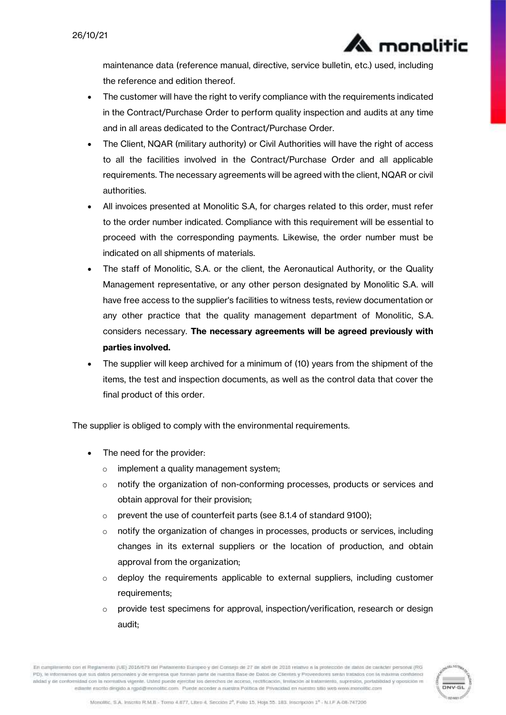maintenance data (reference manual, directive, service bulletin, etc.) used, including the reference and edition thereof.

monolitic

- The customer will have the right to verify compliance with the requirements indicated in the Contract/Purchase Order to perform quality inspection and audits at any time and in all areas dedicated to the Contract/Purchase Order.
- The Client, NQAR (military authority) or Civil Authorities will have the right of access to all the facilities involved in the Contract/Purchase Order and all applicable requirements. The necessary agreements will be agreed with the client, NQAR or civil authorities.
- All invoices presented at Monolitic S.A, for charges related to this order, must refer to the order number indicated. Compliance with this requirement will be essential to proceed with the corresponding payments. Likewise, the order number must be indicated on all shipments of materials.
- The staff of Monolitic, S.A. or the client, the Aeronautical Authority, or the Quality Management representative, or any other person designated by Monolitic S.A. will have free access to the supplier's facilities to witness tests, review documentation or any other practice that the quality management department of Monolitic, S.A. considers necessary. The necessary agreements will be agreed previously with parties involved.
- The supplier will keep archived for a minimum of (10) years from the shipment of the items, the test and inspection documents, as well as the control data that cover the final product of this order.

The supplier is obliged to comply with the environmental requirements.

- The need for the provider:
	- o implement a quality management system;
	- o notify the organization of non-conforming processes, products or services and obtain approval for their provision;
	- o prevent the use of counterfeit parts (see 8.1.4 of standard 9100);
	- $\circ$  notify the organization of changes in processes, products or services, including changes in its external suppliers or the location of production, and obtain approval from the organization;
	- $\circ$  deploy the requirements applicable to external suppliers, including customer requirements;
	- $\circ$  provide test specimens for approval, inspection/verification, research or design audit;

En cumplimiento con el Reglamento (UE) 2016/679 del Parlamento Europeo y del Consejo de 27 de abril de 2018 relativo a la protección de dialos de cantoter personal (RG PD), le informamos que sus datos personales y de empresa que forman parte de nuestra Base de Datos de Clientes y Proveedores serán tratados con la máxima confid atidad y de conformidad con la normativa vigente. Usted puede ejercitar los detechos de acceso, rectiticación, limitación al tratamiento, supresión, portabilidad y oposición m ediante escrito dirigido a rgpó@monolitic.com. Puede acceder a nuestra Política de Privacidad en nuestro sitio web www.monolitic.com